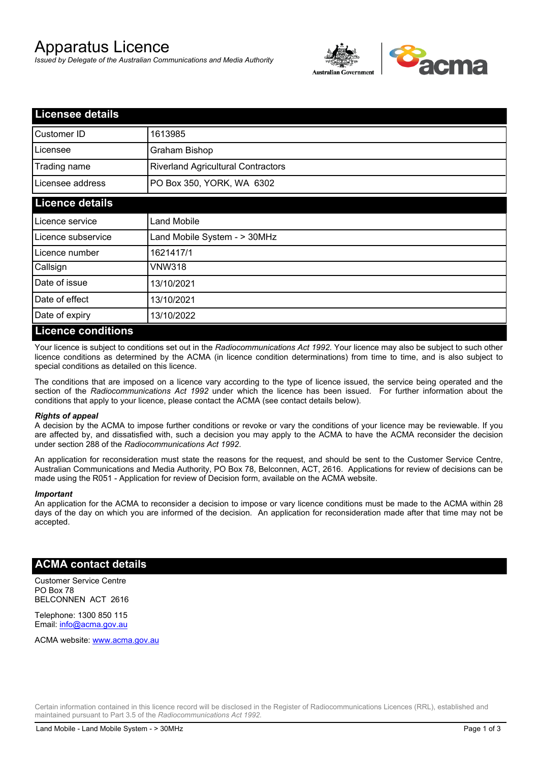# Apparatus Licence

*Issued by Delegate of the Australian Communications and Media Authority*



| <b>Licensee details</b> |                                           |
|-------------------------|-------------------------------------------|
| Customer ID             | 1613985                                   |
| Licensee                | Graham Bishop                             |
| Trading name            | <b>Riverland Agricultural Contractors</b> |
| Licensee address        | PO Box 350, YORK, WA 6302                 |
| <b>Licence details</b>  |                                           |
| Licence service         | <b>Land Mobile</b>                        |
| Licence subservice      | Land Mobile System - > 30MHz              |
| Licence number          | 1621417/1                                 |
| Callsign                | <b>VNW318</b>                             |
| Date of issue           | 13/10/2021                                |
| Date of effect          | 13/10/2021                                |
| Date of expiry          | 13/10/2022                                |
| Liconco conditione      |                                           |

#### **Licence conditions**

Your licence is subject to conditions set out in the *Radiocommunications Act 1992*. Your licence may also be subject to such other licence conditions as determined by the ACMA (in licence condition determinations) from time to time, and is also subject to special conditions as detailed on this licence.

The conditions that are imposed on a licence vary according to the type of licence issued, the service being operated and the section of the *Radiocommunications Act 1992* under which the licence has been issued. For further information about the conditions that apply to your licence, please contact the ACMA (see contact details below).

#### *Rights of appeal*

A decision by the ACMA to impose further conditions or revoke or vary the conditions of your licence may be reviewable. If you are affected by, and dissatisfied with, such a decision you may apply to the ACMA to have the ACMA reconsider the decision under section 288 of the *Radiocommunications Act 1992*.

An application for reconsideration must state the reasons for the request, and should be sent to the Customer Service Centre, Australian Communications and Media Authority, PO Box 78, Belconnen, ACT, 2616. Applications for review of decisions can be made using the R051 - Application for review of Decision form, available on the ACMA website.

#### *Important*

An application for the ACMA to reconsider a decision to impose or vary licence conditions must be made to the ACMA within 28 days of the day on which you are informed of the decision. An application for reconsideration made after that time may not be accepted.

### **ACMA contact details**

Customer Service Centre PO Box 78 BELCONNEN ACT 2616

Telephone: 1300 850 115 Email: info@acma.gov.au

ACMA website: www.acma.gov.au

Certain information contained in this licence record will be disclosed in the Register of Radiocommunications Licences (RRL), established and maintained pursuant to Part 3.5 of the *Radiocommunications Act 1992.*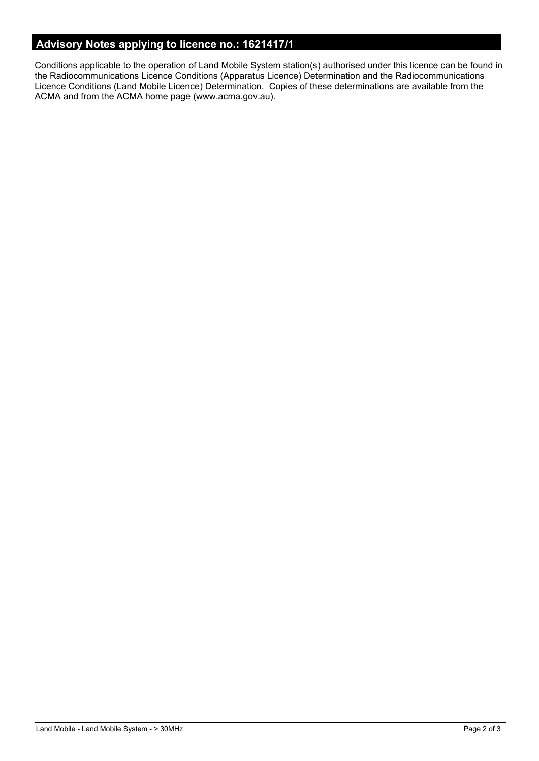## **Advisory Notes applying to licence no.: 1621417/1**

Conditions applicable to the operation of Land Mobile System station(s) authorised under this licence can be found in the Radiocommunications Licence Conditions (Apparatus Licence) Determination and the Radiocommunications Licence Conditions (Land Mobile Licence) Determination. Copies of these determinations are available from the ACMA and from the ACMA home page (www.acma.gov.au).